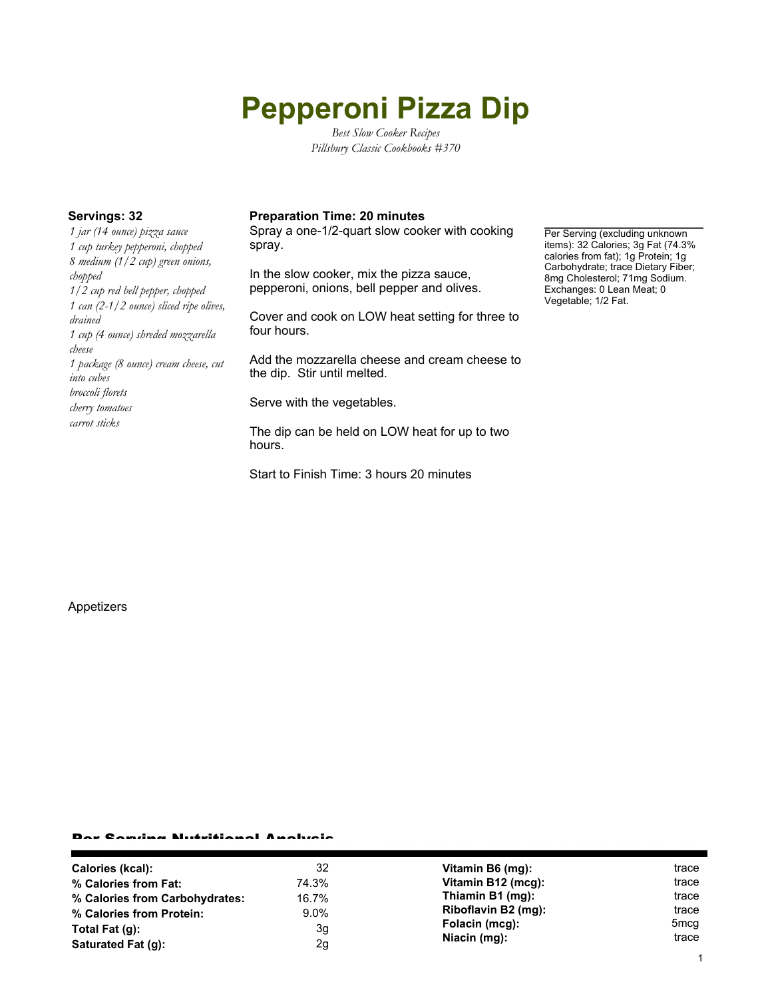# **Pepperoni Pizza Dip**

*Best Slow Cooker Recipes Pillsbury Classic Cookbooks #370*

*1 jar (14 ounce) pizza sauce 1 cup turkey pepperoni, chopped 8 medium (1/2 cup) green onions, chopped 1/2 cup red bell pepper, chopped 1 can (2-1/2 ounce) sliced ripe olives, drained 1 cup (4 ounce) shreded mozzarella cheese 1 package (8 ounce) cream cheese, cut into cubes broccoli florets cherry tomatoes carrot sticks*

#### **Servings: 32 Preparation Time: 20 minutes**

Spray a one-1/2-quart slow cooker with cooking spray.

In the slow cooker, mix the pizza sauce, pepperoni, onions, bell pepper and olives.

Cover and cook on LOW heat setting for three to four hours.

Add the mozzarella cheese and cream cheese to the dip. Stir until melted.

Serve with the vegetables.

The dip can be held on LOW heat for up to two hours.

Start to Finish Time: 3 hours 20 minutes

Per Serving (excluding unknown items): 32 Calories; 3g Fat (74.3% calories from fat); 1g Protein; 1g Carbohydrate; trace Dietary Fiber; 8mg Cholesterol; 71mg Sodium. Exchanges: 0 Lean Meat; 0 Vegetable; 1/2 Fat.

Appetizers

#### Per Serving Nutritional Analysis

| Calories (kcal):               | 32      | Vitamin B6 (mg):    | trace            |
|--------------------------------|---------|---------------------|------------------|
| % Calories from Fat:           | 74.3%   | Vitamin B12 (mcg):  | trace            |
| % Calories from Carbohydrates: | 16.7%   | Thiamin B1 (mg):    | trace            |
| % Calories from Protein:       | $9.0\%$ | Riboflavin B2 (mg): | trace            |
| Total Fat (q):                 | 3g      | Folacin (mcg):      | 5 <sub>mcq</sub> |
| Saturated Fat (g):             | 2g      | Niacin (mg):        | trace            |